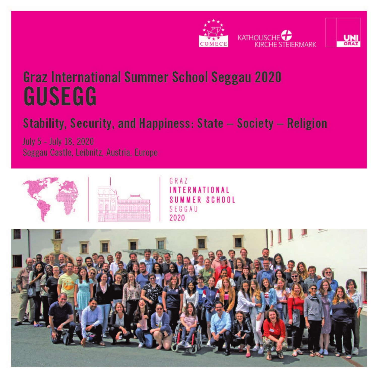



## **Graz International Summer School Seggau 2020** GUSEGG

### Stability, Security, and Happiness: State - Society - Religion

July 5 - July 18, 2020 Seggau Castle, Leibnitz, Austria, Europe



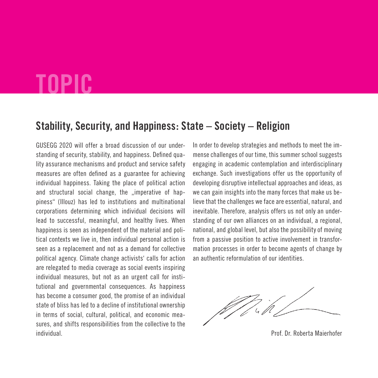## **TOPIC**

#### **Stability, Security, and Happiness: State – Society – Religion**

GUSEGG 2020 will offer a broad discussion of our understanding of security, stability, and happiness. Defined quality assurance mechanisms and product and service safety measures are often defined as a guarantee for achieving individual happiness. Taking the place of political action and structural social change, the "imperative of happiness" (Illouz) has led to institutions and multinational corporations determining which individual decisions will lead to successful, meaningful, and healthy lives. When happiness is seen as independent of the material and political contexts we live in, then individual personal action is seen as a replacement and not as a demand for collective political agency. Climate change activists' calls for action are relegated to media coverage as social events inspiring individual measures, but not as an urgent call for institutional and governmental consequences. As happiness has become a consumer good, the promise of an individual state of bliss has led to a decline of institutional ownership in terms of social, cultural, political, and economic measures, and shifts responsibilities from the collective to the individual.

In order to develop strategies and methods to meet the immense challenges of our time, this summer school suggests engaging in academic contemplation and interdisciplinary exchange. Such investigations offer us the opportunity of developing disruptive intellectual approaches and ideas, as we can gain insights into the many forces that make us believe that the challenges we face are essential, natural, and inevitable. Therefore, analysis offers us not only an understanding of our own alliances on an individual, a regional, national, and global level, but also the possibility of moving from a passive position to active involvement in transformation processes in order to become agents of change by an authentic reformulation of our identities.

Prof. Dr. Roberta Maierhofer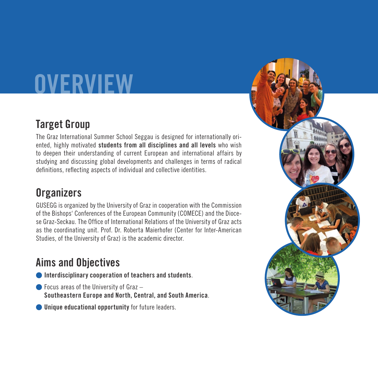# **OVERVIEW**

#### **Target Group**

The Graz International Summer School Seggau is designed for internationally oriented, highly motivated **students from all disciplines and all levels** who wish to deepen their understanding of current European and international affairs by studying and discussing global developments and challenges in terms of radical definitions, reflecting aspects of individual and collective identities.

#### **Organizers**

GUSEGG is organized by the University of Graz in cooperation with the Commission of the Bishops' Conferences of the European Community (COMECE) and the Diocese Graz-Seckau. The Office of International Relations of the University of Graz acts as the coordinating unit. Prof. Dr. Roberta Maierhofer (Center for Inter-American Studies, of the University of Graz) is the academic director.

#### **Aims and Objectives**

- **Interdisciplinary cooperation of teachers and students**.
- Focus areas of the University of Graz **Southeastern Europe and North, Central, and South America**.
- **Unique educational opportunity** for future leaders.

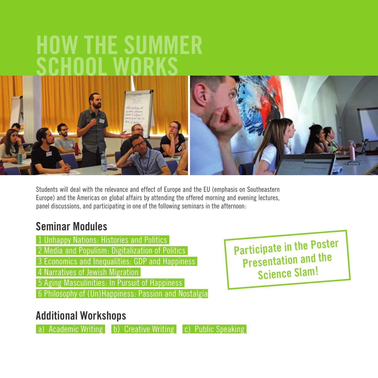## **HOW THE SUMMER SCHOOL WORKS**



Students will deal with the relevance and effect of Europe and the EU (emphasis on Southeastern Europe) and the Americas on global affairs by attending the offered morning and evening lectures, panel discussions, and participating in one of the following seminars in the afternoon:

#### **Seminar Modules**

- 1 Unhappy Nations: Histories and Politics
- 2 Media and Populism: Digitalization of Politics
- 3 Economics and Inequalities: GDP and Happiness
- 4 Narratives of Jewish Migration
- 5 Aging Masculinities: In Pursuit of Happiness
- 6 Philosophy of (Un)Happiness: Passion and Nostalgia

**Additional Workshops**

a) Academic Writing b) Creative Writing c) Public Speaking

**Participate in the Poster Presentation and the Science Slam!**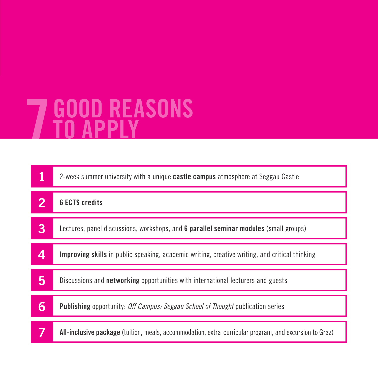# **GOOD REASONS 7 TO APPLY**

| 1 | 2-week summer university with a unique <b>castle campus</b> atmosphere at Seggau Castle                |
|---|--------------------------------------------------------------------------------------------------------|
| 2 | <b>6 ECTS credits</b>                                                                                  |
| 3 | Lectures, panel discussions, workshops, and <b>6 parallel seminar modules</b> (small groups)           |
| 4 | <b>Improving skills</b> in public speaking, academic writing, creative writing, and critical thinking  |
| 5 | Discussions and <b>networking</b> opportunities with international lecturers and guests                |
| 6 | <b>Publishing</b> opportunity: Off Campus: Seggau School of Thought publication series                 |
| 7 | All-inclusive package (tuition, meals, accommodation, extra-curricular program, and excursion to Graz) |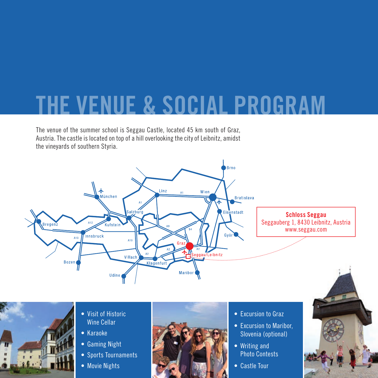## **NUE & SOCI**

The venue of the summer school is Seggau Castle, located 45 km south of Graz, Austria. The castle is located on top of a hill overlooking the city of Leibnitz, amidst the vineyards of southern Styria.





- Visit of Historic Wine Cellar
- Karaoke
- Gaming Night
- Sports Tournaments
- Movie Nights



- Excursion to Graz
- Excursion to Maribor, Slovenia (optional)
- Writing and Photo Contests
- Castle Tour

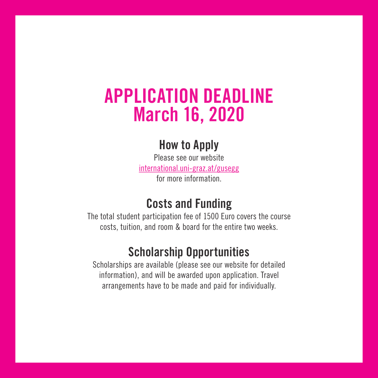## **APPLICATION DEADLINE March 16, 2020**

#### **How to Apply**

Please see our website international.uni-graz.at/gusegg for more information.

#### **Costs and Funding**

The total student participation fee of 1500 Euro covers the course costs, tuition, and room & board for the entire two weeks.

#### **Scholarship Opportunities**

Scholarships are available (please see our website for detailed information), and will be awarded upon application. Travel arrangements have to be made and paid for individually.